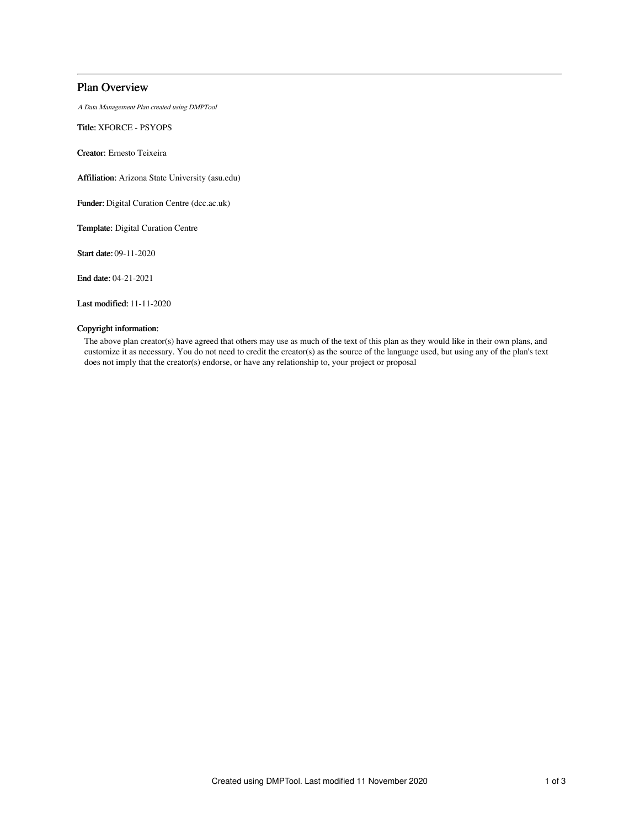# Plan Overview

A Data Management Plan created using DMPTool

Title: XFORCE - PSYOPS

Creator: Ernesto Teixeira

Affiliation: Arizona State University (asu.edu)

Funder: Digital Curation Centre (dcc.ac.uk)

Template: Digital Curation Centre

Start date: 09-11-2020

End date: 04-21-2021

Last modified: 11-11-2020

# Copyright information:

The above plan creator(s) have agreed that others may use as much of the text of this plan as they would like in their own plans, and customize it as necessary. You do not need to credit the creator(s) as the source of the language used, but using any of the plan's text does not imply that the creator(s) endorse, or have any relationship to, your project or proposal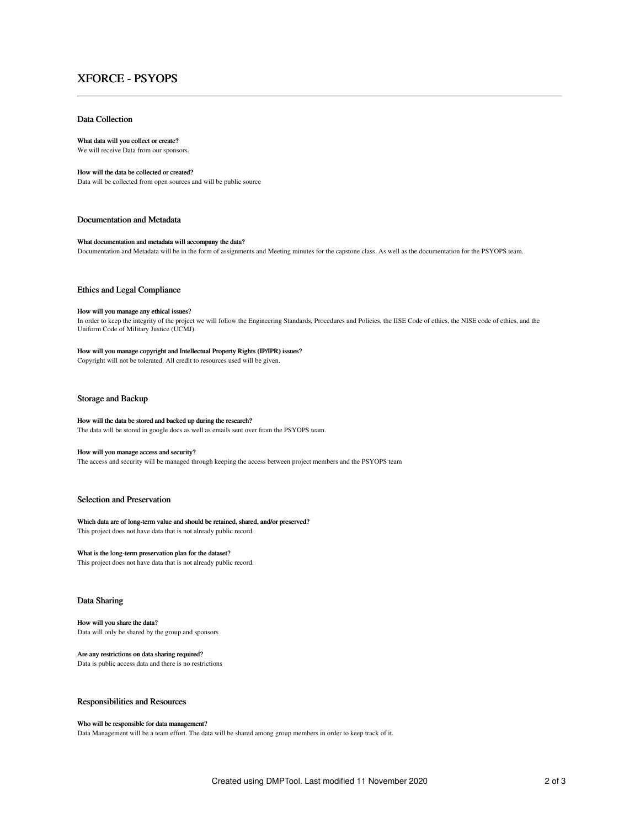# XFORCE - PSYOPS

# Data Collection

#### What data will you collect or create?

We will receive Data from our sponsors.

# How will the data be collected or created?

Data will be collected from open sources and will be public source

# Documentation and Metadata

### What documentation and metadata will accompany the data?

Documentation and Metadata will be in the form of assignments and Meeting minutes for the capstone class. As well as the documentation for the PSYOPS team.

## Ethics and Legal Compliance

# How will you manage any ethical issues?

In order to keep the integrity of the project we will follow the Engineering Standards, Procedures and Policies, the IISE Code of ethics, the NISE code of ethics, and the Uniform Code of Military Justice (UCMJ).

# How will you manage copyright and Intellectual Property Rights (IP/IPR) issues?

Copyright will not be tolerated. All credit to resources used will be given.

# Storage and Backup

#### How will the data be stored and backed up during the research?

The data will be stored in google docs as well as emails sent over from the PSYOPS team.

#### How will you manage access and security?

The access and security will be managed through keeping the access between project members and the PSYOPS team

# Selection and Preservation

#### Which data are of long-term value and should be retained, shared, and/or preserved? This project does not have data that is not already public record.

# What is the long-term preservation plan for the dataset?

This project does not have data that is not already public record.

# Data Sharing

#### How will you share the data?

Data will only be shared by the group and sponsors

# Are any restrictions on data sharing required?

Data is public access data and there is no restrictions

# Responsibilities and Resources

#### Who will be responsible for data management?

Data Management will be a team effort. The data will be shared among group members in order to keep track of it.